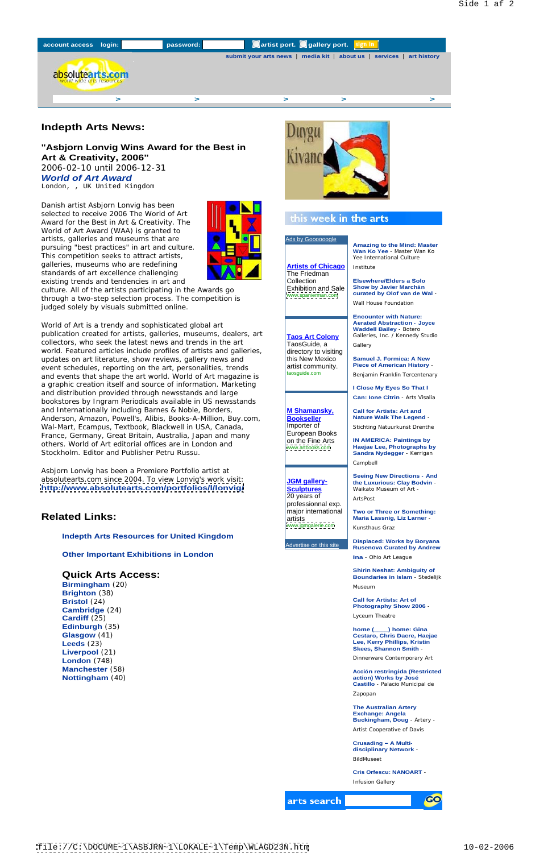#### **Indepth Arts News:**

Danish artist Asbjorn Lonvig has been selected to receive 2006 The World of Art Award for the Best in Art & Creativity. The World of Art Award (WAA) is granted to artists, galleries and museums that are **the community of the set of the set of the set of the set of the set of the set of the set of the set of the set of the set of the set of the set of the set of the set of the set of** pursuing "best practices" in art and culture.<br>
The same of the Mind: Master Wan Ko Yee - Master Wan Ko This competition seeks to attract artists, galleries, museums who are redefining **the state of the set of the set of Chicago** Institute standards of art excellence challenging **the standards of art excellence challenging The Friedman** 



**"Asbjorn Lonvig Wins Award for the Best in Art & Creativity, 2006"**  2006-02-10 until 2006-12-31 **World of Art Award**  London, , UK United Kingdom

existing trends and tendencies in art and<br>
culture All of the artists participating in the Awards go Exhibition and Sale Show by Javier Marchán culture. All of the artists participating in the Awards go **Exhibition and Sale** Show by Javier Marchan<br>through a two stan cologian process. The compatition is through a two-step selection process. The competition is a selection www.spaneman.com wall House Foundation judged solely by visuals submitted online.

World of Art is a trendy and sophisticated global art Morld of Art is a trendy and sophisticated global art More and Musical Pailey - Botero publication created for artists, galleries, museums, dealers, art Taos Art Colony collectors, who seek the latest news and trends in the art  $\frac{1}{2}$  TaosGuide, a set all callery world. Featured articles include profiles of artists and galleries, updates on art literature, show reviews, gallery news and event schedules, reporting on the art, personalities, trends and events that shape the art world. World of Art magazine is and events that shape the art world. World of Art magazine is and events that shape the art world. World of Art magazine is a graphic creation itself and source of information. Marketing and distribution provided through newsstands and large and the cant of the citrin and distribution provided through newsstands and large cant of cant lone Citrin and Strait and Large cant of cant lone Citrin and Strait and bookstores by Ingram Periodicals available in US newsstands and Internationally including Barnes & Noble, Borders, Mark Mandell Manuel Mandell Manuel Manuel Manuel Manuel Anderson, Amazon, Powell's, Alibis, Books-A-Million, Buy.com, Bookseller Nature Walk The Legend -Wal-Mart, Ecampus, Textbook, Blackwell in USA, Canada, **Notain** | Importer of France, Germany, Great Britain, Australia, Japan and many european Books<br>
on the Fine Art aditorial of fisce are in Landen and others. World of Art editorial offices are in London and on the Fine Art Stockholm. Editor and Publisher Petru Russu.

Asbjorn Lonvig has been a Premiere Portfolio artist at absolutearts.com since 2004. To view Lonvig's work visit: **JGM gallery<http://www.absolutearts.com/portfolios/l/lonvig/> Sculptures** Waikato Museum of Art -

### Related Links: **The Struck of American Contribution** and the contribution of the second of three or Something: **Related Links:** The second of the second of the second of the second of the second of the second of the second

**Birmingham** (20) **Shirin Neshat: Ambiguity of Boundaries in Islam** - Stedelijk Museum **Museum and Museum and Museum and Museum** and Museum and Museum and Museum and Museum and Museum and Museum

**Brighton** (38) **Cambridge** (24) **Cambridge** (24) **Cambridge** (24) **Cambridge** (24) **Cambridge** (24) **Cambridge** (24) **Cambridge** (24) **Cardiff** (25) **Cardiff** (25) **Cardiff** (25) **Cardiff** (25) **Cardiff** (25) **Cardiff** (25) **Edinburgh** (35) **Liverpool** (21) **London** (748) **London** (748) **Letters Contemporary Art Manchester** (58) **Manchester** (58) **Manchester** (58) **Manchester** (58) **Manchester** (58)



**Taos Art Colony** TaosGuide, a security contract to a security of the security of  $\sim$  100  $\,$  Gallery security of  $\sim$  100  $\,$   $\sim$  100  $\,$   $\sim$  100  $\,$   $\sim$  100  $\,$   $\sim$  100  $\,$   $\sim$  100  $\,$   $\sim$  100  $\,$   $\sim$  100  $\,$   $\sim$  100  $\,$ **Encounter with Nature: Aerated Abstraction - Joyce Waddell Bailey** - Botero Galleries, Inc. / Kennedy Studio Gallery **Gallery Gallery Gallery** 

**Bristol** (24) **Call for Artists: Art of Call for Artists: Art of Call for Artists: Art of Call for Artists: Art of Photography Show 2006** -

**Glasgow** (41) **Contract Contract Contract Contract Contract Contract Contract Contract Contract Contract Contract Contract Contract Contract Contract Contract Contract Contract Contract Contract Contract Contract Contract Leeds** (23) **home (\_\_\_\_) home: Gina Cestaro, Chris Dacre, Haejae Lee, Kerry Phillips, Kristin Skees, Shannon Smith** -

**Nottingham** (40) **Exercísion Constitution of the construction of the construction of the construction of the construction of the construction of the construction of the construction of the construction of the construction Acción restringida (Restricted action) Works by José Castillo** - Palacio Municipal de

**Indepth Arts Resources for United Kingdom** 

**Other Important Exhibitions in London Community Constructions In American In a** - Ohio Art League

#### **Quick Arts Access:**<br>**Quick Arts Access:** The Constant of the Constant of the Boundaries in Islam - Stedelijk

**Crusading - A Multidisciplinary Network** -



#### Ads by Goooooogle

# **Artists of Chicago**

[www.spanierman.com](http://www.spanierman.com) | **Curated by Olor van de Wal** -

directory to visiting

#### **M Shamansky, Call for Artists: Art and Bookseller**

European Books on the Fine Arts [www.artbooks.com](http://www.artbooks.com)

## **Sculptures** Naikato Museum of Art -

20 years of  $\mathsf{ArtsPost}$ 20 years of <br>professionnal exp. major international **Two or Three or Something:**  artists **Exercise Service Service Service Service Service Service Service Service Service Service Service Service** [www.jgmgalerie.com](http://www.jgmgalerie.com) | Kunsthaus Graz

Advertise on this site **Russianova Curated by Andrew** 

The Friedman Collection **Elsewhere/Elders a Solo**  Exhibition and Sale Show by Javier Marchán **Institute Institute Institute Institute Institute Institute Institute Institute Institute Institute Institute Institute Institute Institute Institute Institute Institute Institute Insti Show by Javier Marchán curated by Olof van de Wal** -

**Amazing to the Mind: Master** 

**Wan Ko Yee** - Master Wan Ko

this New Mexico **Samuel J. Formica: A New**  Piece of American History taosguide.com **Piece of American History** - Benjamin Franklin Tercentenary

Yee International Culture

Wall House Foundation

**I Close My Eyes So That I Can: Ione Citrin** - Arts Visalia

Stichting Natuurkunst Drenthe

**Nature Walk The Legend** - Stichting Natuurkunst Drenthe

**IN AMERICA: Paintings by Haejae Lee, Photographs by Sandra Nydegger** - Kerrigan

the Luxurious: Clay Bodvin -

**Maria Lassnig, Liz Larner** 

Campbell

**Seeing New Directions - And** 

**the Luxurious: Clay Bodvin** -

Waikato Museum of Art -

ArtsPost

Kunsthaus Graz

**Displaced: Works by Boryana Rusenova Curated by Andrew** 

**Ina** - Ohio Art League

Lyceum Theatre

Dinnerware Contemporary Art

Zapopan

**The Australian Artery Exchange: Angela Buckingham, Doug** - Artery -

Artist Cooperative of Davis

BildMuseet

**Cris Orfescu: NANOART** -

Infusion Gallery



[file://C:\DOCUME~1\ASBJRN~1\LOKALE~1\Temp\WLAGD23N.htm](file://C:DOCUME~1ASBJRN~1LOKALE~1TempWLAGD23N.htm) 10-02-2006